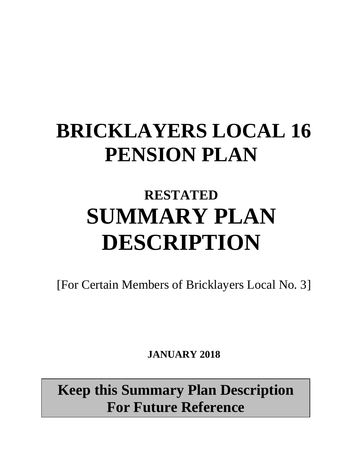# **BRICKLAYERS LOCAL 16 PENSION PLAN**

## **RESTATED SUMMARY PLAN DESCRIPTION**

[For Certain Members of Bricklayers Local No. 3]

 **JANUARY 2018**

**Keep this Summary Plan Description For Future Reference**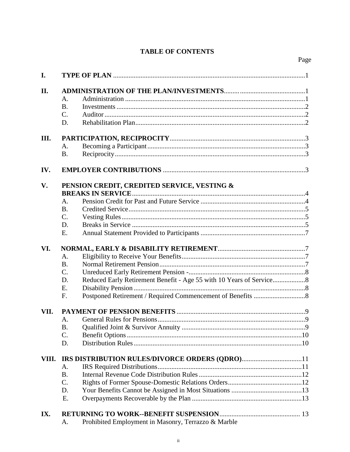## **TABLE OF CONTENTS**

Page

| I.    |                                                                          |  |
|-------|--------------------------------------------------------------------------|--|
| II.   |                                                                          |  |
|       | A.                                                                       |  |
|       | <b>B.</b>                                                                |  |
|       | C.                                                                       |  |
|       | D.                                                                       |  |
|       |                                                                          |  |
| Ш.    |                                                                          |  |
|       | $A_{\cdot}$                                                              |  |
|       | <b>B.</b>                                                                |  |
| IV.   |                                                                          |  |
| V.    | PENSION CREDIT, CREDITED SERVICE, VESTING &                              |  |
|       |                                                                          |  |
|       | A.                                                                       |  |
|       | <b>B.</b>                                                                |  |
|       | C.                                                                       |  |
|       | D.                                                                       |  |
|       | E.                                                                       |  |
| VI.   |                                                                          |  |
|       | A.                                                                       |  |
|       | <b>B.</b>                                                                |  |
|       | C.                                                                       |  |
|       | Reduced Early Retirement Benefit - Age 55 with 10 Years of Service<br>D. |  |
|       | E.                                                                       |  |
|       | F.                                                                       |  |
|       |                                                                          |  |
| VII.  |                                                                          |  |
|       | A.                                                                       |  |
|       | <b>B.</b>                                                                |  |
|       | C.                                                                       |  |
|       | D.                                                                       |  |
| VIII. |                                                                          |  |
|       | A.                                                                       |  |
|       | <b>B.</b>                                                                |  |
|       | C.                                                                       |  |
|       | D.                                                                       |  |
|       | E.                                                                       |  |
| IX.   |                                                                          |  |
|       | $1!1! \times 1!$                                                         |  |

Prohibited Employment in Masonry, Terrazzo & Marble A.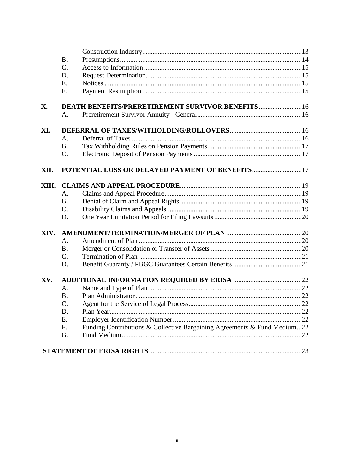|       | <b>B.</b>   |                                                                          |  |  |  |
|-------|-------------|--------------------------------------------------------------------------|--|--|--|
|       | $C$ .       |                                                                          |  |  |  |
|       | D.          |                                                                          |  |  |  |
|       | Ε.          |                                                                          |  |  |  |
|       | F.          |                                                                          |  |  |  |
| X.    |             |                                                                          |  |  |  |
|       | A.          |                                                                          |  |  |  |
| XI.   |             |                                                                          |  |  |  |
|       | $A_{\cdot}$ |                                                                          |  |  |  |
|       | <b>B.</b>   |                                                                          |  |  |  |
|       | C.          |                                                                          |  |  |  |
| XII.  |             | POTENTIAL LOSS OR DELAYED PAYMENT OF BENEFITS17                          |  |  |  |
| XIII. |             |                                                                          |  |  |  |
|       | A.          |                                                                          |  |  |  |
|       | <b>B.</b>   |                                                                          |  |  |  |
|       | C.          |                                                                          |  |  |  |
|       | D.          |                                                                          |  |  |  |
| XIV.  |             |                                                                          |  |  |  |
|       | A.          |                                                                          |  |  |  |
|       | <b>B.</b>   |                                                                          |  |  |  |
|       | C.          |                                                                          |  |  |  |
|       | D.          |                                                                          |  |  |  |
| XV.   |             |                                                                          |  |  |  |
|       | A.          |                                                                          |  |  |  |
|       | <b>B.</b>   |                                                                          |  |  |  |
|       | C.          |                                                                          |  |  |  |
|       | D.          |                                                                          |  |  |  |
|       | Ε.          |                                                                          |  |  |  |
|       | F.          | Funding Contributions & Collective Bargaining Agreements & Fund Medium22 |  |  |  |
|       | G.          |                                                                          |  |  |  |
|       |             |                                                                          |  |  |  |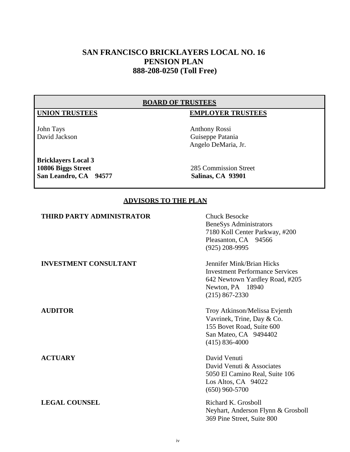## **SAN FRANCISCO BRICKLAYERS LOCAL NO. 16 PENSION PLAN 888-208-0250 (Toll Free)**

#### **BOARD OF TRUSTEES**

#### **UNION TRUSTEES EMPLOYER TRUSTEES**

John Tays Anthony Rossi David Jackson Guiseppe Patania Angelo DeMaria, Jr.

#### **Bricklayers Local 3 10806 Biggs Street** 285 Commission Street **San Leandro, CA 94577 Salinas, CA 93901**

#### **ADVISORS TO THE PLAN**

| THIRD PARTY ADMINISTRATOR    | <b>Chuck Besocke</b><br>BeneSys Administrators<br>7180 Koll Center Parkway, #200<br>Pleasanton, CA 94566<br>$(925)$ 208-9995                    |
|------------------------------|-------------------------------------------------------------------------------------------------------------------------------------------------|
| <b>INVESTMENT CONSULTANT</b> | Jennifer Mink/Brian Hicks<br><b>Investment Performance Services</b><br>642 Newtown Yardley Road, #205<br>Newton, PA 18940<br>$(215) 867 - 2330$ |
| <b>AUDITOR</b>               | Troy Atkinson/Melissa Evjenth<br>Vavrinek, Trine, Day & Co.<br>155 Bovet Road, Suite 600<br>San Mateo, CA 9494402<br>$(415) 836 - 4000$         |
| <b>ACTUARY</b>               | David Venuti<br>David Venuti & Associates<br>5050 El Camino Real, Suite 106<br>Los Altos, CA 94022<br>$(650)$ 960-5700                          |
| <b>LEGAL COUNSEL</b>         | Richard K. Grosboll<br>Neyhart, Anderson Flynn & Grosboll<br>369 Pine Street, Suite 800                                                         |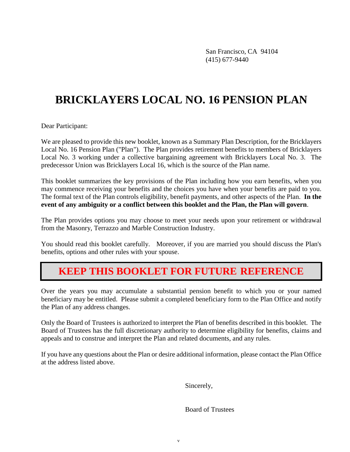San Francisco, CA 94104 (415) 677-9440

## **BRICKLAYERS LOCAL NO. 16 PENSION PLAN**

Dear Participant:

We are pleased to provide this new booklet, known as a Summary Plan Description, for the Bricklayers Local No. 16 Pension Plan ("Plan"). The Plan provides retirement benefits to members of Bricklayers Local No. 3 working under a collective bargaining agreement with Bricklayers Local No. 3. The predecessor Union was Bricklayers Local 16, which is the source of the Plan name.

This booklet summarizes the key provisions of the Plan including how you earn benefits, when you may commence receiving your benefits and the choices you have when your benefits are paid to you. The formal text of the Plan controls eligibility, benefit payments, and other aspects of the Plan. **In the event of any ambiguity or a conflict between this booklet and the Plan, the Plan will govern**.

The Plan provides options you may choose to meet your needs upon your retirement or withdrawal from the Masonry, Terrazzo and Marble Construction Industry.

You should read this booklet carefully. Moreover, if you are married you should discuss the Plan's benefits, options and other rules with your spouse.

## **KEEP THIS BOOKLET FOR FUTURE REFERENCE**

Over the years you may accumulate a substantial pension benefit to which you or your named beneficiary may be entitled. Please submit a completed beneficiary form to the Plan Office and notify the Plan of any address changes.

Only the Board of Trustees is authorized to interpret the Plan of benefits described in this booklet. The Board of Trustees has the full discretionary authority to determine eligibility for benefits, claims and appeals and to construe and interpret the Plan and related documents, and any rules.

If you have any questions about the Plan or desire additional information, please contact the Plan Office at the address listed above.

Sincerely,

Board of Trustees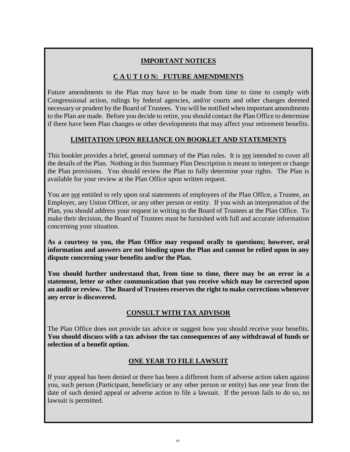## **IMPORTANT NOTICES**

## **C A U T I O N: FUTURE AMENDMENTS**

Future amendments to the Plan may have to be made from time to time to comply with Congressional action, rulings by federal agencies, and/or courts and other changes deemed necessary or prudent by the Board of Trustees. You will be notified when important amendments to the Plan are made. Before you decide to retire, you should contact the Plan Office to determine if there have been Plan changes or other developments that may affect your retirement benefits.

## **LIMITATION UPON RELIANCE ON BOOKLET AND STATEMENTS**

This booklet provides a brief, general summary of the Plan rules. It is not intended to cover all the details of the Plan. Nothing in this Summary Plan Description is meant to interpret or change the Plan provisions. You should review the Plan to fully determine your rights. The Plan is available for your review at the Plan Office upon written request.

You are not entitled to rely upon oral statements of employees of the Plan Office, a Trustee, an Employer, any Union Officer, or any other person or entity. If you wish an interpretation of the Plan, you should address your request in writing to the Board of Trustees at the Plan Office. To make their decision, the Board of Trustees must be furnished with full and accurate information concerning your situation.

**As a courtesy to you, the Plan Office may respond orally to questions; however, oral information and answers are not binding upon the Plan and cannot be relied upon in any dispute concerning your benefits and/or the Plan.**

**You should further understand that, from time to time, there may be an error in a statement, letter or other communication that you receive which may be corrected upon an audit or review. The Board of Trustees reserves the right to make corrections whenever any error is discovered.**

## **CONSULT WITH TAX ADVISOR**

The Plan Office does not provide tax advice or suggest how you should receive your benefits. **You should discuss with a tax advisor the tax consequences of any withdrawal of funds or selection of a benefit option.**

#### **ONE YEAR TO FILE LAWSUIT**

If your appeal has been denied or there has been a different form of adverse action taken against you, such person (Participant, beneficiary or any other person or entity) has one year from the date of such denied appeal or adverse action to file a lawsuit. If the person fails to do so, no lawsuit is permitted.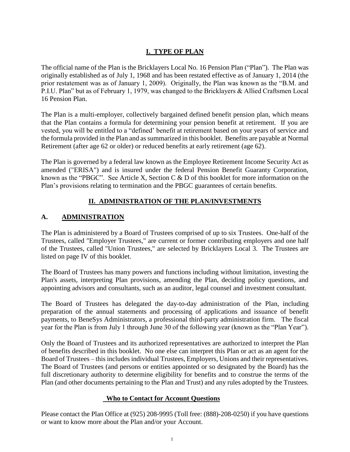### **I. TYPE OF PLAN**

The official name of the Plan is the Bricklayers Local No. 16 Pension Plan ("Plan"). The Plan was originally established as of July 1, 1968 and has been restated effective as of January 1, 2014 (the prior restatement was as of January 1, 2009). Originally, the Plan was known as the "B.M. and P.I.U. Plan" but as of February 1, 1979, was changed to the Bricklayers & Allied Craftsmen Local 16 Pension Plan.

The Plan is a multi-employer, collectively bargained defined benefit pension plan, which means that the Plan contains a formula for determining your pension benefit at retirement. If you are vested, you will be entitled to a "defined' benefit at retirement based on your years of service and the formula provided in the Plan and as summarized in this booklet. Benefits are payable at Normal Retirement (after age 62 or older) or reduced benefits at early retirement (age 62).

The Plan is governed by a federal law known as the Employee Retirement Income Security Act as amended ("ERISA") and is insured under the federal Pension Benefit Guaranty Corporation, known as the "PBGC". See Article X, Section C & D of this booklet for more information on the Plan's provisions relating to termination and the PBGC guarantees of certain benefits.

#### **II. ADMINISTRATION OF THE PLAN/INVESTMENTS**

#### **A. ADMINISTRATION**

The Plan is administered by a Board of Trustees comprised of up to six Trustees. One-half of the Trustees, called "Employer Trustees," are current or former contributing employers and one half of the Trustees, called "Union Trustees," are selected by Bricklayers Local 3. The Trustees are listed on page IV of this booklet.

The Board of Trustees has many powers and functions including without limitation, investing the Plan's assets, interpreting Plan provisions, amending the Plan, deciding policy questions, and appointing advisors and consultants, such as an auditor, legal counsel and investment consultant.

The Board of Trustees has delegated the day-to-day administration of the Plan, including preparation of the annual statements and processing of applications and issuance of benefit payments, to BeneSys Administrators, a professional third-party administration firm. The fiscal year for the Plan is from July 1 through June 30 of the following year (known as the "Plan Year").

Only the Board of Trustees and its authorized representatives are authorized to interpret the Plan of benefits described in this booklet. No one else can interpret this Plan or act as an agent for the Board of Trustees – this includes individual Trustees, Employers, Unions and their representatives. The Board of Trustees (and persons or entities appointed or so designated by the Board) has the full discretionary authority to determine eligibility for benefits and to construe the terms of the Plan (and other documents pertaining to the Plan and Trust) and any rules adopted by the Trustees.

#### **Who to Contact for Account Questions**

Please contact the Plan Office at (925) 208-9995 (Toll free: (888)-208-0250) if you have questions or want to know more about the Plan and/or your Account.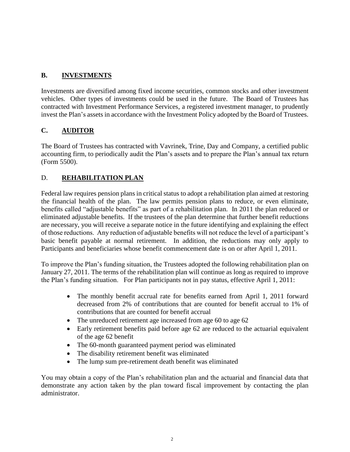## **B. INVESTMENTS**

Investments are diversified among fixed income securities, common stocks and other investment vehicles. Other types of investments could be used in the future. The Board of Trustees has contracted with Investment Performance Services, a registered investment manager, to prudently invest the Plan's assets in accordance with the Investment Policy adopted by the Board of Trustees.

## **C. AUDITOR**

The Board of Trustees has contracted with Vavrinek, Trine, Day and Company, a certified public accounting firm, to periodically audit the Plan's assets and to prepare the Plan's annual tax return (Form 5500).

## D. **REHABILITATION PLAN**

Federal law requires pension plans in critical status to adopt a rehabilitation plan aimed at restoring the financial health of the plan. The law permits pension plans to reduce, or even eliminate, benefits called "adjustable benefits" as part of a rehabilitation plan. In 2011 the plan reduced or eliminated adjustable benefits. If the trustees of the plan determine that further benefit reductions are necessary, you will receive a separate notice in the future identifying and explaining the effect of those reductions. Any reduction of adjustable benefits will not reduce the level of a participant's basic benefit payable at normal retirement. In addition, the reductions may only apply to Participants and beneficiaries whose benefit commencement date is on or after April 1, 2011.

To improve the Plan's funding situation, the Trustees adopted the following rehabilitation plan on January 27, 2011. The terms of the rehabilitation plan will continue as long as required to improve the Plan's funding situation. For Plan participants not in pay status, effective April 1, 2011:

- The monthly benefit accrual rate for benefits earned from April 1, 2011 forward decreased from 2% of contributions that are counted for benefit accrual to 1% of contributions that are counted for benefit accrual
- The unreduced retirement age increased from age 60 to age 62
- Early retirement benefits paid before age 62 are reduced to the actuarial equivalent of the age 62 benefit
- The 60-month guaranteed payment period was eliminated
- The disability retirement benefit was eliminated
- The lump sum pre-retirement death benefit was eliminated

You may obtain a copy of the Plan's rehabilitation plan and the actuarial and financial data that demonstrate any action taken by the plan toward fiscal improvement by contacting the plan administrator.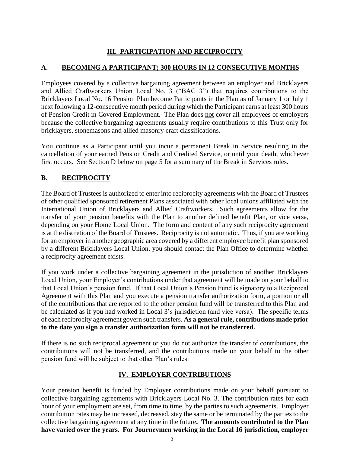## **III. PARTICIPATION AND RECIPROCITY**

## **A. BECOMING A PARTICIPANT; 300 HOURS IN 12 CONSECUTIVE MONTHS**

Employees covered by a collective bargaining agreement between an employer and Bricklayers and Allied Craftworkers Union Local No. 3 ("BAC 3") that requires contributions to the Bricklayers Local No. 16 Pension Plan become Participants in the Plan as of January 1 or July 1 next following a 12-consecutive month period during which the Participant earns at least 300 hours of Pension Credit in Covered Employment. The Plan does not cover all employees of employers because the collective bargaining agreements usually require contributions to this Trust only for bricklayers, stonemasons and allied masonry craft classifications.

You continue as a Participant until you incur a permanent Break in Service resulting in the cancellation of your earned Pension Credit and Credited Service, or until your death, whichever first occurs. See Section D below on page 5 for a summary of the Break in Services rules.

## **B. RECIPROCITY**

The Board of Trustees is authorized to enter into reciprocity agreements with the Board of Trustees of other qualified sponsored retirement Plans associated with other local unions affiliated with the International Union of Bricklayers and Allied Craftworkers. Such agreements allow for the transfer of your pension benefits with the Plan to another defined benefit Plan, or vice versa, depending on your Home Local Union. The form and content of any such reciprocity agreement is at the discretion of the Board of Trustees. Reciprocity is not automatic. Thus, if you are working for an employer in another geographic area covered by a different employee benefit plan sponsored by a different Bricklayers Local Union, you should contact the Plan Office to determine whether a reciprocity agreement exists.

If you work under a collective bargaining agreement in the jurisdiction of another Bricklayers Local Union, your Employer's contributions under that agreement will be made on your behalf to that Local Union's pension fund. If that Local Union's Pension Fund is signatory to a Reciprocal Agreement with this Plan and you execute a pension transfer authorization form, a portion or all of the contributions that are reported to the other pension fund will be transferred to this Plan and be calculated as if you had worked in Local 3's jurisdiction (and vice versa). The specific terms of each reciprocity agreement govern such transfers. **As a general rule, contributions made prior to the date you sign a transfer authorization form will not be transferred.**

If there is no such reciprocal agreement or you do not authorize the transfer of contributions, the contributions will not be transferred, and the contributions made on your behalf to the other pension fund will be subject to that other Plan's rules.

## **IV. EMPLOYER CONTRIBUTIONS**

Your pension benefit is funded by Employer contributions made on your behalf pursuant to collective bargaining agreements with Bricklayers Local No. 3. The contribution rates for each hour of your employment are set, from time to time, by the parties to such agreements. Employer contribution rates may be increased, decreased, stay the same or be terminated by the parties to the collective bargaining agreement at any time in the future**. The amounts contributed to the Plan have varied over the years. For Journeymen working in the Local 16 jurisdiction, employer**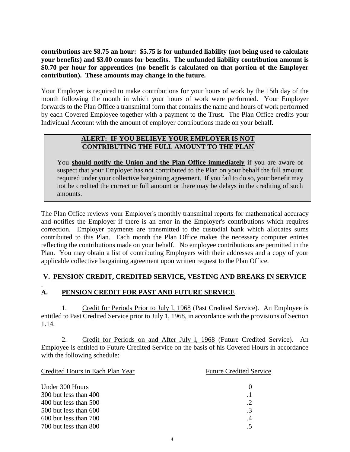**contributions are \$8.75 an hour: \$5.75 is for unfunded liability (not being used to calculate your benefits) and \$3.00 counts for benefits. The unfunded liability contribution amount is \$0.70 per hour for apprentices (no benefit is calculated on that portion of the Employer contribution). These amounts may change in the future.**

Your Employer is required to make contributions for your hours of work by the 15th day of the month following the month in which your hours of work were performed. Your Employer forwards to the Plan Office a transmittal form that contains the name and hours of work performed by each Covered Employee together with a payment to the Trust. The Plan Office credits your Individual Account with the amount of employer contributions made on your behalf.

#### **ALERT: IF YOU BELIEVE YOUR EMPLOYER IS NOT CONTRIBUTING THE FULL AMOUNT TO THE PLAN**

You **should notify the Union and the Plan Office immediately** if you are aware or suspect that your Employer has not contributed to the Plan on your behalf the full amount required under your collective bargaining agreement. If you fail to do so, your benefit may not be credited the correct or full amount or there may be delays in the crediting of such amounts.

The Plan Office reviews your Employer's monthly transmittal reports for mathematical accuracy and notifies the Employer if there is an error in the Employer's contributions which requires correction. Employer payments are transmitted to the custodial bank which allocates sums contributed to this Plan. Each month the Plan Office makes the necessary computer entries reflecting the contributions made on your behalf. No employee contributions are permitted in the Plan. You may obtain a list of contributing Employers with their addresses and a copy of your applicable collective bargaining agreement upon written request to the Plan Office.

#### **V. PENSION CREDIT, CREDITED SERVICE, VESTING AND BREAKS IN SERVICE**

#### . **A. PENSION CREDIT FOR PAST AND FUTURE SERVICE**

1. Credit for Periods Prior to July l, 1968 (Past Credited Service). An Employee is entitled to Past Credited Service prior to July 1, 1968, in accordance with the provisions of Section 1.14.

2. Credit for Periods on and After July 1, 1968 (Future Credited Service). An Employee is entitled to Future Credited Service on the basis of his Covered Hours in accordance with the following schedule:

| Credited Hours in Each Plan Year | <b>Future Credited Service</b> |  |
|----------------------------------|--------------------------------|--|
| Under 300 Hours                  |                                |  |
| 300 but less than 400            | $\cdot$ 1                      |  |
| 400 but less than 500            | $\cdot$ .2                     |  |
| 500 but less than 600            | $\cdot$ 3                      |  |
| 600 but less than 700            | $\cdot$ 4                      |  |
| 700 but less than 800            | .5                             |  |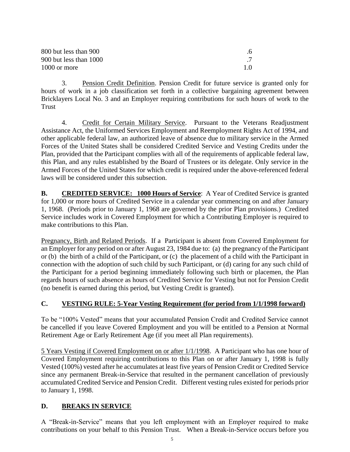| 800 but less than 900  |     |
|------------------------|-----|
| 900 but less than 1000 |     |
| 1000 or more           | 1.0 |

3. Pension Credit Definition. Pension Credit for future service is granted only for hours of work in a job classification set forth in a collective bargaining agreement between Bricklayers Local No. 3 and an Employer requiring contributions for such hours of work to the Trust

4. Credit for Certain Military Service. Pursuant to the Veterans Readjustment Assistance Act, the Uniformed Services Employment and Reemployment Rights Act of 1994, and other applicable federal law, an authorized leave of absence due to military service in the Armed Forces of the United States shall be considered Credited Service and Vesting Credits under the Plan, provided that the Participant complies with all of the requirements of applicable federal law, this Plan, and any rules established by the Board of Trustees or its delegate. Only service in the Armed Forces of the United States for which credit is required under the above-referenced federal laws will be considered under this subsection.

**B. CREDITED SERVICE:** 1000 Hours of Service: A Year of Credited Service is granted for 1,000 or more hours of Credited Service in a calendar year commencing on and after January 1, 1968. (Periods prior to January 1, 1968 are governed by the prior Plan provisions.) Credited Service includes work in Covered Employment for which a Contributing Employer is required to make contributions to this Plan.

Pregnancy, Birth and Related Periods. If a Participant is absent from Covered Employment for an Employer for any period on or after August 23, 1984 due to: (a) the pregnancy of the Participant or (b) the birth of a child of the Participant, or (c) the placement of a child with the Participant in connection with the adoption of such child by such Participant, or (d) caring for any such child of the Participant for a period beginning immediately following such birth or placemen, the Plan regards hours of such absence as hours of Credited Service for Vesting but not for Pension Credit (no benefit is earned during this period, but Vesting Credit is granted).

## **C. VESTING RULE: 5-Year Vesting Requirement (for period from 1/1/1998 forward)**

To be "100% Vested" means that your accumulated Pension Credit and Credited Service cannot be cancelled if you leave Covered Employment and you will be entitled to a Pension at Normal Retirement Age or Early Retirement Age (if you meet all Plan requirements).

5 Years Vesting if Covered Employment on or after 1/1/1998. A Participant who has one hour of Covered Employment requiring contributions to this Plan on or after January 1, 1998 is fully Vested (100%) vested after he accumulates at least five years of Pension Credit or Credited Service since any permanent Break-in-Service that resulted in the permanent cancellation of previously accumulated Credited Service and Pension Credit. Different vesting rules existed for periods prior to January 1, 1998.

#### **D. BREAKS IN SERVICE**

A "Break-in-Service" means that you left employment with an Employer required to make contributions on your behalf to this Pension Trust. When a Break-in-Service occurs before you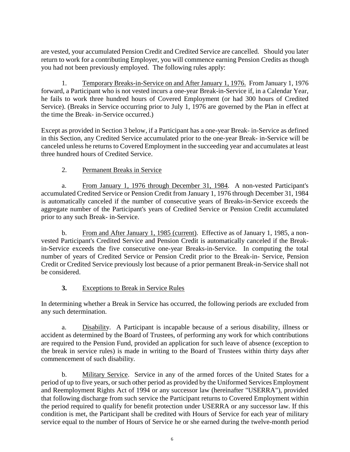are vested, your accumulated Pension Credit and Credited Service are cancelled. Should you later return to work for a contributing Employer, you will commence earning Pension Credits as though you had not been previously employed. The following rules apply:

1. Temporary Breaks-in-Service on and After January 1, 1976. From January 1, 1976 forward, a Participant who is not vested incurs a one-year Break-in-Service if, in a Calendar Year, he fails to work three hundred hours of Covered Employment (or had 300 hours of Credited Service). (Breaks in Service occurring prior to July 1, 1976 are governed by the Plan in effect at the time the Break- in-Service occurred.)

Except as provided in Section 3 below, if a Participant has a one-year Break- in-Service as defined in this Section, any Credited Service accumulated prior to the one-year Break- in-Service will be canceled unless he returns to Covered Employment in the succeeding year and accumulates at least three hundred hours of Credited Service.

## 2. Permanent Breaks in Service

a. From January 1, 1976 through December 31, 1984. A non-vested Participant's accumulated Credited Service or Pension Credit from January 1, 1976 through December 31, 1984 is automatically canceled if the number of consecutive years of Breaks-in-Service exceeds the aggregate number of the Participant's years of Credited Service or Pension Credit accumulated prior to any such Break- in-Service.

b. From and After January 1, 1985 (current). Effective as of January 1, 1985, a nonvested Participant's Credited Service and Pension Credit is automatically canceled if the Breakin-Service exceeds the five consecutive one-year Breaks-in-Service. In computing the total number of years of Credited Service or Pension Credit prior to the Break-in- Service, Pension Credit or Credited Service previously lost because of a prior permanent Break-in-Service shall not be considered.

## **3.** Exceptions to Break in Service Rules

In determining whether a Break in Service has occurred, the following periods are excluded from any such determination.

a. Disability. A Participant is incapable because of a serious disability, illness or accident as determined by the Board of Trustees, of performing any work for which contributions are required to the Pension Fund, provided an application for such leave of absence (exception to the break in service rules) is made in writing to the Board of Trustees within thirty days after commencement of such disability.

b. Military Service. Service in any of the armed forces of the United States for a period of up to five years, or such other period as provided by the Uniformed Services Employment and Reemployment Rights Act of 1994 or any successor law (hereinafter "USERRA"), provided that following discharge from such service the Participant returns to Covered Employment within the period required to qualify for benefit protection under USERRA or any successor law. If this condition is met, the Participant shall be credited with Hours of Service for each year of military service equal to the number of Hours of Service he or she earned during the twelve-month period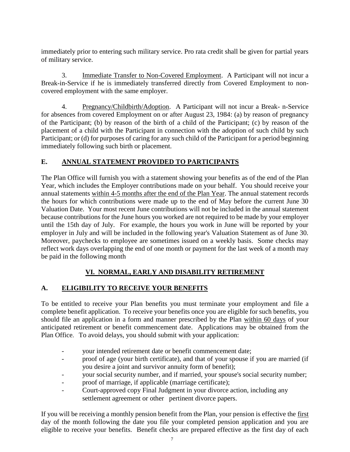immediately prior to entering such military service. Pro rata credit shall be given for partial years of military service.

3. Immediate Transfer to Non-Covered Employment. A Participant will not incur a Break-in-Service if he is immediately transferred directly from Covered Employment to noncovered employment with the same employer.

4. Pregnancy/Childbirth/Adoption. A Participant will not incur a Break- n-Service for absences from covered Employment on or after August 23, 1984: (a) by reason of pregnancy of the Participant; (b) by reason of the birth of a child of the Participant; (c) by reason of the placement of a child with the Participant in connection with the adoption of such child by such Participant; or (d) for purposes of caring for any such child of the Participant for a period beginning immediately following such birth or placement.

## **E. ANNUAL STATEMENT PROVIDED TO PARTICIPANTS**

The Plan Office will furnish you with a statement showing your benefits as of the end of the Plan Year, which includes the Employer contributions made on your behalf. You should receive your annual statements within 4-5 months after the end of the Plan Year. The annual statement records the hours for which contributions were made up to the end of May before the current June 30 Valuation Date. Your most recent June contributions will not be included in the annual statement because contributions for the June hours you worked are not required to be made by your employer until the 15th day of July. For example, the hours you work in June will be reported by your employer in July and will be included in the following year's Valuation Statement as of June 30. Moreover, paychecks to employee are sometimes issued on a weekly basis. Some checks may reflect work days overlapping the end of one month or payment for the last week of a month may be paid in the following month

## **VI. NORMAL, EARLY AND DISABILITY RETIREMENT**

## **A. ELIGIBILITY TO RECEIVE YOUR BENEFITS**

To be entitled to receive your Plan benefits you must terminate your employment and file a complete benefit application. To receive your benefits once you are eligible for such benefits, you should file an application in a form and manner prescribed by the Plan within 60 days of your anticipated retirement or benefit commencement date. Applications may be obtained from the Plan Office. To avoid delays, you should submit with your application:

- your intended retirement date or benefit commencement date;
- proof of age (your birth certificate), and that of your spouse if you are married (if you desire a joint and survivor annuity form of benefit);
- your social security number, and if married, your spouse's social security number;
- proof of marriage, if applicable (marriage certificate);
- Court-approved copy Final Judgment in your divorce action, including any settlement agreement or other pertinent divorce papers.

If you will be receiving a monthly pension benefit from the Plan, your pension is effective the first day of the month following the date you file your completed pension application and you are eligible to receive your benefits. Benefit checks are prepared effective as the first day of each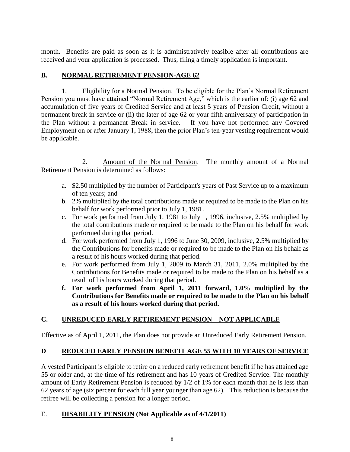month. Benefits are paid as soon as it is administratively feasible after all contributions are received and your application is processed. Thus, filing a timely application is important.

### **B. NORMAL RETIREMENT PENSION-AGE 62**

1. Eligibility for a Normal Pension. To be eligible for the Plan's Normal Retirement Pension you must have attained "Normal Retirement Age," which is the earlier of: (i) age 62 and accumulation of five years of Credited Service and at least 5 years of Pension Credit, without a permanent break in service or (ii) the later of age 62 or your fifth anniversary of participation in the Plan without a permanent Break in service. If you have not performed any Covered Employment on or after January 1, 1988, then the prior Plan's ten-year vesting requirement would be applicable.

2. Amount of the Normal Pension. The monthly amount of a Normal Retirement Pension is determined as follows:

- a. \$2.50 multiplied by the number of Participant's years of Past Service up to a maximum of ten years; and
- b. 2% multiplied by the total contributions made or required to be made to the Plan on his behalf for work performed prior to July 1, 1981.
- c. For work performed from July 1, 1981 to July 1, 1996, inclusive, 2.5% multiplied by the total contributions made or required to be made to the Plan on his behalf for work performed during that period.
- d. For work performed from July 1, 1996 to June 30, 2009, inclusive, 2.5% multiplied by the Contributions for benefits made or required to be made to the Plan on his behalf as a result of his hours worked during that period.
- e. For work performed from July 1, 2009 to March 31, 2011, 2.0% multiplied by the Contributions for Benefits made or required to be made to the Plan on his behalf as a result of his hours worked during that period.
- **f. For work performed from April 1, 2011 forward, 1.0% multiplied by the Contributions for Benefits made or required to be made to the Plan on his behalf as a result of his hours worked during that period.**

## **C. UNREDUCED EARLY RETIREMENT PENSION—NOT APPLICABLE**

Effective as of April 1, 2011, the Plan does not provide an Unreduced Early Retirement Pension.

#### **D REDUCED EARLY PENSION BENEFIT AGE 55 WITH 10 YEARS OF SERVICE**

A vested Participant is eligible to retire on a reduced early retirement benefit if he has attained age 55 or older and, at the time of his retirement and has 10 years of Credited Service. The monthly amount of Early Retirement Pension is reduced by 1/2 of 1% for each month that he is less than 62 years of age (six percent for each full year younger than age 62). This reduction is because the retiree will be collecting a pension for a longer period.

#### E. **DISABILITY PENSION (Not Applicable as of 4/1/2011)**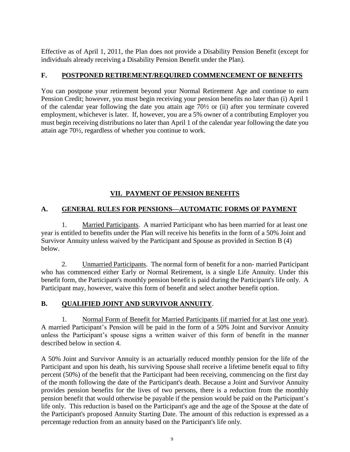Effective as of April 1, 2011, the Plan does not provide a Disability Pension Benefit (except for individuals already receiving a Disability Pension Benefit under the Plan).

#### **F. POSTPONED RETIREMENT/REQUIRED COMMENCEMENT OF BENEFITS**

You can postpone your retirement beyond your Normal Retirement Age and continue to earn Pension Credit; however, you must begin receiving your pension benefits no later than (i) April 1 of the calendar year following the date you attain age 70½ or (ii) after you terminate covered employment, whichever is later. If, however, you are a 5% owner of a contributing Employer you must begin receiving distributions no later than April 1 of the calendar year following the date you attain age 70½, regardless of whether you continue to work.

#### **VII. PAYMENT OF PENSION BENEFITS**

#### **A. GENERAL RULES FOR PENSIONS—AUTOMATIC FORMS OF PAYMENT**

1. Married Participants. A married Participant who has been married for at least one year is entitled to benefits under the Plan will receive his benefits in the form of a 50% Joint and Survivor Annuity unless waived by the Participant and Spouse as provided in Section B (4) below.

2. Unmarried Participants. The normal form of benefit for a non- married Participant who has commenced either Early or Normal Retirement, is a single Life Annuity. Under this benefit form, the Participant's monthly pension benefit is paid during the Participant's life only. A Participant may, however, waive this form of benefit and select another benefit option.

#### **B. QUALIFIED JOINT AND SURVIVOR ANNUITY**.

1. Normal Form of Benefit for Married Participants (if married for at last one year). A married Participant's Pension will be paid in the form of a 50% Joint and Survivor Annuity unless the Participant's spouse signs a written waiver of this form of benefit in the manner described below in section 4.

A 50% Joint and Survivor Annuity is an actuarially reduced monthly pension for the life of the Participant and upon his death, his surviving Spouse shall receive a lifetime benefit equal to fifty percent (50%) of the benefit that the Participant had been receiving, commencing on the first day of the month following the date of the Participant's death. Because a Joint and Survivor Annuity provides pension benefits for the lives of two persons, there is a reduction from the monthly pension benefit that would otherwise be payable if the pension would be paid on the Participant's life only. This reduction is based on the Participant's age and the age of the Spouse at the date of the Participant's proposed Annuity Starting Date. The amount of this reduction is expressed as a percentage reduction from an annuity based on the Participant's life only.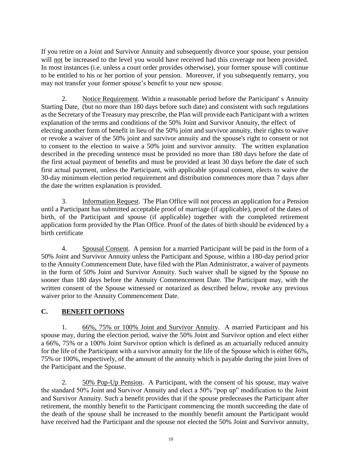If you retire on a Joint and Survivor Annuity and subsequently divorce your spouse, your pension will not be increased to the level you would have received had this coverage not been provided. In most instances (i.e. unless a court order provides otherwise), your former spouse will continue to be entitled to his or her portion of your pension. Moreover, if you subsequently remarry, you may not transfer your former spouse's benefit to your new spouse.

2. Notice Requirement. Within a reasonable period before the Participant' s Annuity Starting Date, (but no more than 180 days before such date) and consistent with such regulations as the Secretary of the Treasury may prescribe, the Plan will provide each Participant with a written explanation of the terms and conditions of the 50% Joint and Survivor Annuity, the effect of electing another form of benefit in lieu of the 50% joint and survivor annuity, their rights to waive or revoke a waiver of the 50% joint and survivor annuity and the spouse's right to consent or not to consent to the election to waive a 50% joint and survivor annuity. The written explanation described in the preceding sentence must be provided no more than 180 days before the date of the first actual payment of benefits and must be provided at least 30 days before the date of such first actual payment, unless the Participant, with applicable spousal consent, elects to waive the 30-day minimum election period requirement and distribution commences more than 7 days after the date the written explanation is provided.

3. Information Request. The Plan Office will not process an application for a Pension until a Participant has submitted acceptable proof of marriage (if applicable), proof of the dates of birth, of the Participant and spouse (if applicable) together with the completed retirement application form provided by the Plan Office. Proof of the dates of birth should be evidenced by a birth certificate

4. Spousal Consent. A pension for a married Participant will be paid in the form of a 50% Joint and Survivor Annuity unless the Participant and Spouse, within a 180-day period prior to the Annuity Commencement Date, have filed with the Plan Administrator, a waiver of payments in the form of 50% Joint and Survivor Annuity. Such waiver shall be signed by the Spouse no sooner than 180 days before the Annuity Commencement Date. The Participant may, with the written consent of the Spouse witnessed or notarized as described below, revoke any previous waiver prior to the Annuity Commencement Date.

## **C. BENEFIT OPTIONS**

1. 66%, 75% or 100% Joint and Survivor Annuity. A married Participant and his spouse may, during the election period, waive the 50% Joint and Survivor option and elect either a 66%, 75% or a 100% Joint Survivor option which is defined as an actuarially reduced annuity for the life of the Participant with a survivor annuity for the life of the Spouse which is either 66%, 75% or 100%, respectively, of the amount of the annuity which is payable during the joint lives of the Participant and the Spouse.

2. 50% Pop-Up Pension. A Participant, with the consent of his spouse, may waive the standard 50% Joint and Survivor Annuity and elect a 50% "pop up" modification to the Joint and Survivor Annuity. Such a benefit provides that if the spouse predeceases the Participant after retirement, the monthly benefit to the Participant commencing the month succeeding the date of the death of the spouse shall be increased to the monthly benefit amount the Participant would have received had the Participant and the spouse not elected the 50% Joint and Survivor annuity,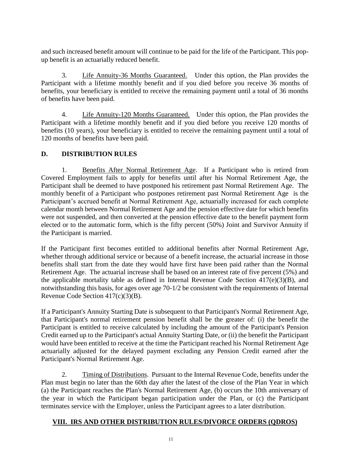and such increased benefit amount will continue to be paid for the life of the Participant. This popup benefit is an actuarially reduced benefit.

3. Life Annuity-36 Months Guaranteed. Under this option, the Plan provides the Participant with a lifetime monthly benefit and if you died before you receive 36 months of benefits, your beneficiary is entitled to receive the remaining payment until a total of 36 months of benefits have been paid.

4. Life Annuity-120 Months Guaranteed. Under this option, the Plan provides the Participant with a lifetime monthly benefit and if you died before you receive 120 months of benefits (10 years), your beneficiary is entitled to receive the remaining payment until a total of 120 months of benefits have been paid.

#### **D. DISTRIBUTION RULES**

1. Benefits After Normal Retirement Age. If a Participant who is retired from Covered Employment fails to apply for benefits until after his Normal Retirement Age, the Participant shall be deemed to have postponed his retirement past Normal Retirement Age. The monthly benefit of a Participant who postpones retirement past Normal Retirement Age is the Participant's accrued benefit at Normal Retirement Age, actuarially increased for each complete calendar month between Normal Retirement Age and the pension effective date for which benefits were not suspended, and then converted at the pension effective date to the benefit payment form elected or to the automatic form, which is the fifty percent (50%) Joint and Survivor Annuity if the Participant is married.

If the Participant first becomes entitled to additional benefits after Normal Retirement Age, whether through additional service or because of a benefit increase, the actuarial increase in those benefits shall start from the date they would have first have been paid rather than the Normal Retirement Age. The actuarial increase shall be based on an interest rate of five percent (5%) and the applicable mortality table as defined in Internal Revenue Code Section 417(e)(3)(B), and notwithstanding this basis, for ages over age 70-1/2 be consistent with the requirements of Internal Revenue Code Section 417(c)(3)(B).

If a Participant's Annuity Starting Date is subsequent to that Participant's Normal Retirement Age, that Participant's normal retirement pension benefit shall be the greater of: (i) the benefit the Participant is entitled to receive calculated by including the amount of the Participant's Pension Credit earned up to the Participant's actual Annuity Starting Date, or (ii) the benefit the Participant would have been entitled to receive at the time the Participant reached his Normal Retirement Age actuarially adjusted for the delayed payment excluding any Pension Credit earned after the Participant's Normal Retirement Age.

2. Timing of Distributions. Pursuant to the Internal Revenue Code, benefits under the Plan must begin no later than the 60th day after the latest of the close of the Plan Year in which (a) the Participant reaches the Plan's Normal Retirement Age, (b) occurs the 10th anniversary of the year in which the Participant began participation under the Plan, or (c) the Participant terminates service with the Employer, unless the Participant agrees to a later distribution.

#### **VIII. IRS AND OTHER DISTRIBUTION RULES/DIVORCE ORDERS (QDROS)**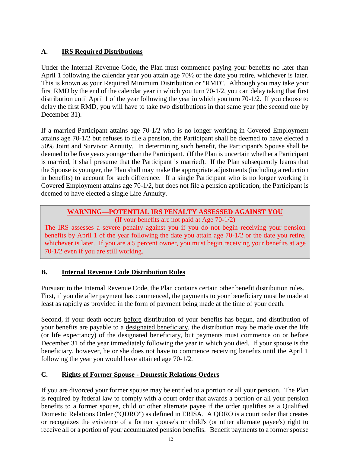## **A. IRS Required Distributions**

Under the Internal Revenue Code, the Plan must commence paying your benefits no later than April 1 following the calendar year you attain age 70½ or the date you retire, whichever is later. This is known as your Required Minimum Distribution or "RMD". Although you may take your first RMD by the end of the calendar year in which you turn 70-1/2, you can delay taking that first distribution until April 1 of the year following the year in which you turn 70-1/2. If you choose to delay the first RMD, you will have to take two distributions in that same year (the second one by December 31).

If a married Participant attains age 70-1/2 who is no longer working in Covered Employment attains age 70-1/2 but refuses to file a pension, the Participant shall be deemed to have elected a 50% Joint and Survivor Annuity. In determining such benefit, the Participant's Spouse shall be deemed to be five years younger than the Participant. (If the Plan is uncertain whether a Participant is married, it shall presume that the Participant is married). If the Plan subsequently learns that the Spouse is younger, the Plan shall may make the appropriate adjustments (including a reduction in benefits) to account for such difference. If a single Participant who is no longer working in Covered Employment attains age 70-1/2, but does not file a pension application, the Participant is deemed to have elected a single Life Annuity.

#### **WARNING—POTENTIAL IRS PENALTY ASSESSED AGAINST YOU** (If your benefits are not paid at Age 70-1/2)

The IRS assesses a severe penalty against you if you do not begin receiving your pension benefits by April 1 of the year following the date you attain age 70-1/2 or the date you retire, whichever is later. If you are a 5 percent owner, you must begin receiving your benefits at age 70-1/2 even if you are still working.

## **B. Internal Revenue Code Distribution Rules**

Pursuant to the Internal Revenue Code, the Plan contains certain other benefit distribution rules. First, if you die after payment has commenced, the payments to your beneficiary must be made at least as rapidly as provided in the form of payment being made at the time of your death.

Second, if your death occurs before distribution of your benefits has begun, and distribution of your benefits are payable to a designated beneficiary, the distribution may be made over the life (or life expectancy) of the designated beneficiary, but payments must commence on or before December 31 of the year immediately following the year in which you died. If your spouse is the beneficiary, however, he or she does not have to commence receiving benefits until the April 1 following the year you would have attained age 70-1/2.

## **C. Rights of Former Spouse - Domestic Relations Orders**

If you are divorced your former spouse may be entitled to a portion or all your pension. The Plan is required by federal law to comply with a court order that awards a portion or all your pension benefits to a former spouse, child or other alternate payee if the order qualifies as a Qualified Domestic Relations Order ("QDRO") as defined in ERISA. A QDRO is a court order that creates or recognizes the existence of a former spouse's or child's (or other alternate payee's) right to receive all or a portion of your accumulated pension benefits. Benefit payments to a former spouse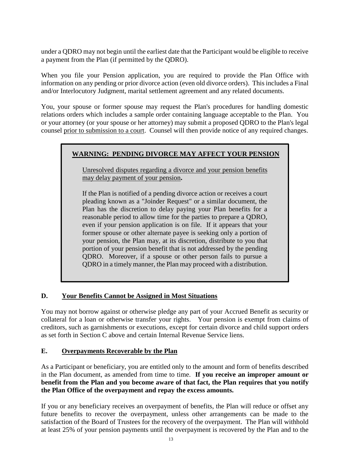under a QDRO may not begin until the earliest date that the Participant would be eligible to receive a payment from the Plan (if permitted by the QDRO).

When you file your Pension application, you are required to provide the Plan Office with information on any pending or prior divorce action (even old divorce orders). This includes a Final and/or Interlocutory Judgment, marital settlement agreement and any related documents.

You, your spouse or former spouse may request the Plan's procedures for handling domestic relations orders which includes a sample order containing language acceptable to the Plan. You or your attorney (or your spouse or her attorney) may submit a proposed QDRO to the Plan's legal counsel prior to submission to a court. Counsel will then provide notice of any required changes.

## **WARNING: PENDING DIVORCE MAY AFFECT YOUR PENSION**

Unresolved disputes regarding a divorce and your pension benefits may delay payment of your pension**.** 

If the Plan is notified of a pending divorce action or receives a court pleading known as a "Joinder Request" or a similar document, the Plan has the discretion to delay paying your Plan benefits for a reasonable period to allow time for the parties to prepare a QDRO, even if your pension application is on file. If it appears that your former spouse or other alternate payee is seeking only a portion of your pension, the Plan may, at its discretion, distribute to you that portion of your pension benefit that is not addressed by the pending QDRO. Moreover, if a spouse or other person fails to pursue a QDRO in a timely manner, the Plan may proceed with a distribution.

#### **D. Your Benefits Cannot be Assigned in Most Situations**

You may not borrow against or otherwise pledge any part of your Accrued Benefit as security or collateral for a loan or otherwise transfer your rights. Your pension is exempt from claims of creditors, such as garnishments or executions, except for certain divorce and child support orders as set forth in Section C above and certain Internal Revenue Service liens.

#### **E. Overpayments Recoverable by the Plan**

As a Participant or beneficiary, you are entitled only to the amount and form of benefits described in the Plan document, as amended from time to time. **If you receive an improper amount or benefit from the Plan and you become aware of that fact, the Plan requires that you notify the Plan Office of the overpayment and repay the excess amounts.**

If you or any beneficiary receives an overpayment of benefits, the Plan will reduce or offset any future benefits to recover the overpayment, unless other arrangements can be made to the satisfaction of the Board of Trustees for the recovery of the overpayment. The Plan will withhold at least 25% of your pension payments until the overpayment is recovered by the Plan and to the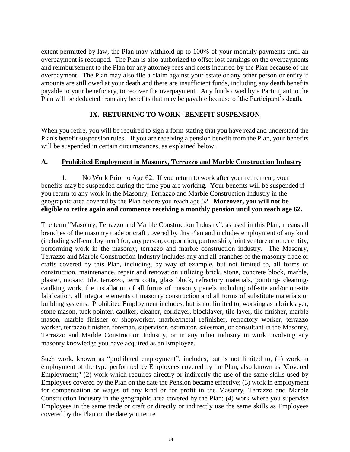extent permitted by law, the Plan may withhold up to 100% of your monthly payments until an overpayment is recouped. The Plan is also authorized to offset lost earnings on the overpayments and reimbursement to the Plan for any attorney fees and costs incurred by the Plan because of the overpayment. The Plan may also file a claim against your estate or any other person or entity if amounts are still owed at your death and there are insufficient funds, including any death benefits payable to your beneficiary, to recover the overpayment. Any funds owed by a Participant to the Plan will be deducted from any benefits that may be payable because of the Participant's death.

## **IX. RETURNING TO WORK--BENEFIT SUSPENSION**

When you retire, you will be required to sign a form stating that you have read and understand the Plan's benefit suspension rules. If you are receiving a pension benefit from the Plan, your benefits will be suspended in certain circumstances, as explained below:

#### **A. Prohibited Employment in Masonry, Terrazzo and Marble Construction Industry**

1. No Work Prior to Age 62. If you return to work after your retirement, your benefits may be suspended during the time you are working. Your benefits will be suspended if you return to any work in the Masonry, Terrazzo and Marble Construction Industry in the geographic area covered by the Plan before you reach age 62. **Moreover, you will not be eligible to retire again and commence receiving a monthly pension until you reach age 62.**

The term "Masonry, Terrazzo and Marble Construction Industry", as used in this Plan, means all branches of the masonry trade or craft covered by this Plan and includes employment of any kind (including self-employment) for, any person, corporation, partnership, joint venture or other entity, performing work in the masonry, terrazzo and marble construction industry. The Masonry, Terrazzo and Marble Construction Industry includes any and all branches of the masonry trade or crafts covered by this Plan, including, by way of example, but not limited to, all forms of construction, maintenance, repair and renovation utilizing brick, stone, concrete block, marble, plaster, mosaic, tile, terrazzo, terra cotta, glass block, refractory materials, pointing- cleaningcaulking work, the installation of all forms of masonry panels including off-site and/or on-site fabrication, all integral elements of masonry construction and all forms of substitute materials or building systems. Prohibited Employment includes, but is not limited to, working as a bricklayer, stone mason, tuck pointer, caulker, cleaner, corklayer, blocklayer, tile layer, tile finisher, marble mason, marble finisher or shopworker, marble/metal refinisher, refractory worker, terrazzo worker, terrazzo finisher, foreman, supervisor, estimator, salesman, or consultant in the Masonry, Terrazzo and Marble Construction Industry, or in any other industry in work involving any masonry knowledge you have acquired as an Employee.

Such work, known as "prohibited employment", includes, but is not limited to, (1) work in employment of the type performed by Employees covered by the Plan, also known as "Covered Employment;" (2) work which requires directly or indirectly the use of the same skills used by Employees covered by the Plan on the date the Pension became effective; (3) work in employment for compensation or wages of any kind or for profit in the Masonry, Terrazzo and Marble Construction Industry in the geographic area covered by the Plan; (4) work where you supervise Employees in the same trade or craft or directly or indirectly use the same skills as Employees covered by the Plan on the date you retire.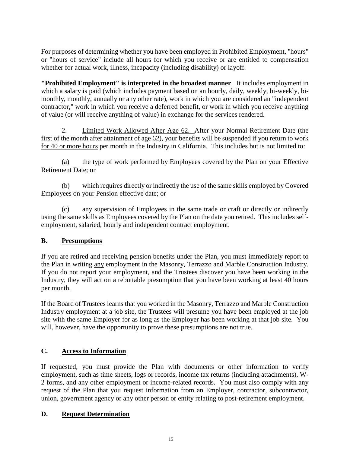For purposes of determining whether you have been employed in Prohibited Employment, "hours" or "hours of service" include all hours for which you receive or are entitled to compensation whether for actual work, illness, incapacity (including disability) or layoff.

**"Prohibited Employment" is interpreted in the broadest manner**. It includes employment in which a salary is paid (which includes payment based on an hourly, daily, weekly, bi-weekly, bimonthly, monthly, annually or any other rate), work in which you are considered an "independent contractor," work in which you receive a deferred benefit, or work in which you receive anything of value (or will receive anything of value) in exchange for the services rendered.

2. Limited Work Allowed After Age 62. After your Normal Retirement Date (the first of the month after attainment of age 62), your benefits will be suspended if you return to work for 40 or more hours per month in the Industry in California. This includes but is not limited to:

(a) the type of work performed by Employees covered by the Plan on your Effective Retirement Date; or

(b) which requires directly or indirectly the use of the same skills employed by Covered Employees on your Pension effective date; or

(c) any supervision of Employees in the same trade or craft or directly or indirectly using the same skills as Employees covered by the Plan on the date you retired. This includes selfemployment, salaried, hourly and independent contract employment.

#### **B. Presumptions**

If you are retired and receiving pension benefits under the Plan, you must immediately report to the Plan in writing any employment in the Masonry, Terrazzo and Marble Construction Industry. If you do not report your employment, and the Trustees discover you have been working in the Industry, they will act on a rebuttable presumption that you have been working at least 40 hours per month.

If the Board of Trustees learns that you worked in the Masonry, Terrazzo and Marble Construction Industry employment at a job site, the Trustees will presume you have been employed at the job site with the same Employer for as long as the Employer has been working at that job site. You will, however, have the opportunity to prove these presumptions are not true.

## **C. Access to Information**

If requested, you must provide the Plan with documents or other information to verify employment, such as time sheets, logs or records, income tax returns (including attachments), W-2 forms, and any other employment or income-related records. You must also comply with any request of the Plan that you request information from an Employer, contractor, subcontractor, union, government agency or any other person or entity relating to post-retirement employment.

#### **D. Request Determination**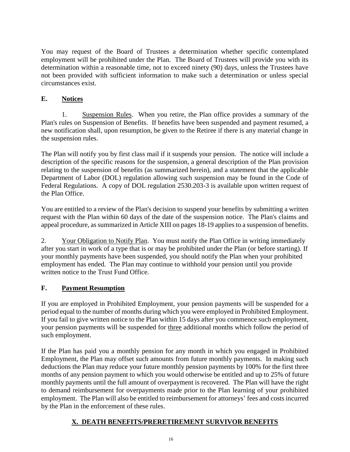You may request of the Board of Trustees a determination whether specific contemplated employment will be prohibited under the Plan. The Board of Trustees will provide you with its determination within a reasonable time, not to exceed ninety (90) days, unless the Trustees have not been provided with sufficient information to make such a determination or unless special circumstances exist.

## **E. Notices**

1. Suspension Rules. When you retire, the Plan office provides a summary of the Plan's rules on Suspension of Benefits. If benefits have been suspended and payment resumed, a new notification shall, upon resumption, be given to the Retiree if there is any material change in the suspension rules.

The Plan will notify you by first class mail if it suspends your pension. The notice will include a description of the specific reasons for the suspension, a general description of the Plan provision relating to the suspension of benefits (as summarized herein), and a statement that the applicable Department of Labor (DOL) regulation allowing such suspension may be found in the Code of Federal Regulations. A copy of DOL regulation 2530.203-3 is available upon written request of the Plan Office.

You are entitled to a review of the Plan's decision to suspend your benefits by submitting a written request with the Plan within 60 days of the date of the suspension notice. The Plan's claims and appeal procedure, as summarized in Article XIII on pages 18-19 applies to a suspension of benefits.

2. Your Obligation to Notify Plan. You must notify the Plan Office in writing immediately after you start in work of a type that is or may be prohibited under the Plan (or before starting). If your monthly payments have been suspended, you should notify the Plan when your prohibited employment has ended. The Plan may continue to withhold your pension until you provide written notice to the Trust Fund Office.

## **F. Payment Resumption**

If you are employed in Prohibited Employment, your pension payments will be suspended for a period equal to the number of months during which you were employed in Prohibited Employment. If you fail to give written notice to the Plan within 15 days after you commence such employment, your pension payments will be suspended for three additional months which follow the period of such employment.

If the Plan has paid you a monthly pension for any month in which you engaged in Prohibited Employment, the Plan may offset such amounts from future monthly payments. In making such deductions the Plan may reduce your future monthly pension payments by 100% for the first three months of any pension payment to which you would otherwise be entitled and up to 25% of future monthly payments until the full amount of overpayment is recovered. The Plan will have the right to demand reimbursement for overpayments made prior to the Plan learning of your prohibited employment. The Plan will also be entitled to reimbursement for attorneys' fees and costs incurred by the Plan in the enforcement of these rules.

## **X. DEATH BENEFITS/PRERETIREMENT SURVIVOR BENEFITS**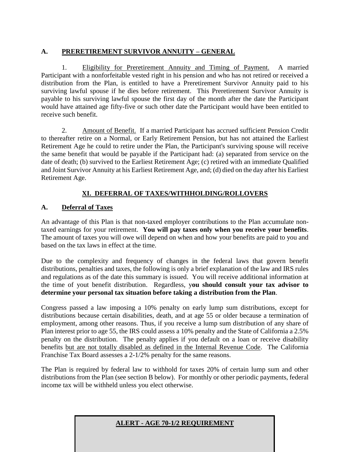## **A. PRERETIREMENT SURVIVOR ANNUITY – GENERAL**

1. Eligibility for Preretirement Annuity and Timing of Payment. A married Participant with a nonforfeitable vested right in his pension and who has not retired or received a distribution from the Plan, is entitled to have a Preretirement Survivor Annuity paid to his surviving lawful spouse if he dies before retirement. This Preretirement Survivor Annuity is payable to his surviving lawful spouse the first day of the month after the date the Participant would have attained age fifty-five or such other date the Participant would have been entitled to receive such benefit.

2. Amount of Benefit. If a married Participant has accrued sufficient Pension Credit to thereafter retire on a Normal, or Early Retirement Pension, but has not attained the Earliest Retirement Age he could to retire under the Plan, the Participant's surviving spouse will receive the same benefit that would be payable if the Participant had: (a) separated from service on the date of death; (b) survived to the Earliest Retirement Age; (c) retired with an immediate Qualified and Joint Survivor Annuity at his Earliest Retirement Age, and; (d) died on the day after his Earliest Retirement Age.

## **XI. DEFERRAL OF TAXES/WITHHOLDING/ROLLOVERS**

## **A. Deferral of Taxes**

An advantage of this Plan is that non-taxed employer contributions to the Plan accumulate nontaxed earnings for your retirement. **You will pay taxes only when you receive your benefits**. The amount of taxes you will owe will depend on when and how your benefits are paid to you and based on the tax laws in effect at the time.

Due to the complexity and frequency of changes in the federal laws that govern benefit distributions, penalties and taxes, the following is only a brief explanation of the law and IRS rules and regulations as of the date this summary is issued. You will receive additional information at the time of yout benefit distribution. Regardless, y**ou should consult your tax advisor to determine your personal tax situation before taking a distribution from the Plan**.

Congress passed a law imposing a 10% penalty on early lump sum distributions, except for distributions because certain disabilities, death, and at age 55 or older because a termination of employment, among other reasons. Thus, if you receive a lump sum distribution of any share of Plan interest prior to age 55, the IRS could assess a 10% penalty and the State of California a 2.5% penalty on the distribution. The penalty applies if you default on a loan or receive disability benefits but are not totally disabled as defined in the Internal Revenue Code. The California Franchise Tax Board assesses a 2-1/2% penalty for the same reasons.

The Plan is required by federal law to withhold for taxes 20% of certain lump sum and other distributions from the Plan (see section B below). For monthly or other periodic payments, federal income tax will be withheld unless you elect otherwise.

**ALERT - AGE 70-1/2 REQUIREMENT**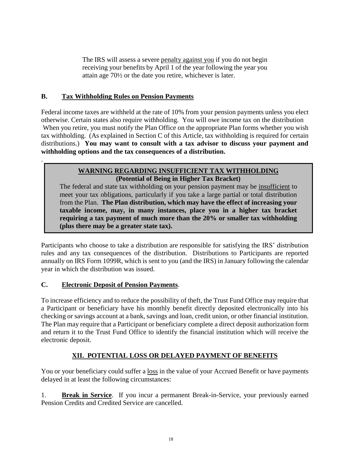The IRS will assess a severe penalty against you if you do not begin receiving your benefits by April 1 of the year following the year you attain age 70½ or the date you retire, whichever is later.

#### **B. Tax Withholding Rules on Pension Payments**

.

Federal income taxes are withheld at the rate of 10% from your pension payments unless you elect otherwise. Certain states also require withholding. You will owe income tax on the distribution When you retire, you must notify the Plan Office on the appropriate Plan forms whether you wish tax withholding. (As explained in Section C of this Article, tax withholding is required for certain distributions.) **You may want to consult with a tax advisor to discuss your payment and withholding options and the tax consequences of a distribution.**

#### **WARNING REGARDING INSUFFICIENT TAX WITHHOLDING (Potential of Being in Higher Tax Bracket)**

The federal and state tax withholding on your pension payment may be insufficient to meet your tax obligations, particularly if you take a large partial or total distribution from the Plan. **The Plan distribution, which may have the effect of increasing your taxable income, may, in many instances, place you in a higher tax bracket requiring a tax payment of much more than the 20% or smaller tax withholding (plus there may be a greater state tax).**

Participants who choose to take a distribution are responsible for satisfying the IRS' distribution rules and any tax consequences of the distribution. Distributions to Participants are reported annually on IRS Form 1099R, which is sent to you (and the IRS) in January following the calendar year in which the distribution was issued.

## **C. Electronic Deposit of Pension Payments**.

To increase efficiency and to reduce the possibility of theft, the Trust Fund Office may require that a Participant or beneficiary have his monthly benefit directly deposited electronically into his checking or savings account at a bank, savings and loan, credit union, or other financial institution. The Plan may require that a Participant or beneficiary complete a direct deposit authorization form and return it to the Trust Fund Office to identify the financial institution which will receive the electronic deposit.

## **XII. POTENTIAL LOSS OR DELAYED PAYMENT OF BENEFITS**

You or your beneficiary could suffer a loss in the value of your Accrued Benefit or have payments delayed in at least the following circumstances:

1. **Break in Service**. If you incur a permanent Break-in-Service, your previously earned Pension Credits and Credited Service are cancelled.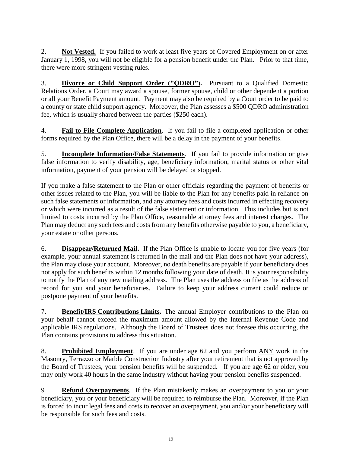2. **Not Vested.** If you failed to work at least five years of Covered Employment on or after January 1, 1998, you will not be eligible for a pension benefit under the Plan. Prior to that time, there were more stringent vesting rules.

3. **Divorce or Child Support Order ("QDRO").** Pursuant to a Qualified Domestic Relations Order, a Court may award a spouse, former spouse, child or other dependent a portion or all your Benefit Payment amount. Payment may also be required by a Court order to be paid to a county or state child support agency. Moreover, the Plan assesses a \$500 QDRO administration fee, which is usually shared between the parties (\$250 each).

4. **Fail to File Complete Application**. If you fail to file a completed application or other forms required by the Plan Office, there will be a delay in the payment of your benefits.

5. **Incomplete Information/False Statements**. If you fail to provide information or give false information to verify disability, age, beneficiary information, marital status or other vital information, payment of your pension will be delayed or stopped.

If you make a false statement to the Plan or other officials regarding the payment of benefits or other issues related to the Plan, you will be liable to the Plan for any benefits paid in reliance on such false statements or information, and any attorney fees and costs incurred in effecting recovery or which were incurred as a result of the false statement or information. This includes but is not limited to costs incurred by the Plan Office, reasonable attorney fees and interest charges. The Plan may deduct any such fees and costs from any benefits otherwise payable to you, a beneficiary, your estate or other persons.

6. **Disappear/Returned Mail.** If the Plan Office is unable to locate you for five years (for example, your annual statement is returned in the mail and the Plan does not have your address), the Plan may close your account. Moreover, no death benefits are payable if your beneficiary does not apply for such benefits within 12 months following your date of death. It is your responsibility to notify the Plan of any new mailing address. The Plan uses the address on file as the address of record for you and your beneficiaries. Failure to keep your address current could reduce or postpone payment of your benefits.

7. **Benefit/IRS Contributions Limits.** The annual Employer contributions to the Plan on your behalf cannot exceed the maximum amount allowed by the Internal Revenue Code and applicable IRS regulations. Although the Board of Trustees does not foresee this occurring, the Plan contains provisions to address this situation.

8. **Prohibited Employment**. If you are under age 62 and you perform ANY work in the Masonry, Terrazzo or Marble Construction Industry after your retirement that is not approved by the Board of Trustees, your pension benefits will be suspended. If you are age 62 or older, you may only work 40 hours in the same industry without having your pension benefits suspended.

9 **Refund Overpayments**. If the Plan mistakenly makes an overpayment to you or your beneficiary, you or your beneficiary will be required to reimburse the Plan. Moreover, if the Plan is forced to incur legal fees and costs to recover an overpayment, you and/or your beneficiary will be responsible for such fees and costs.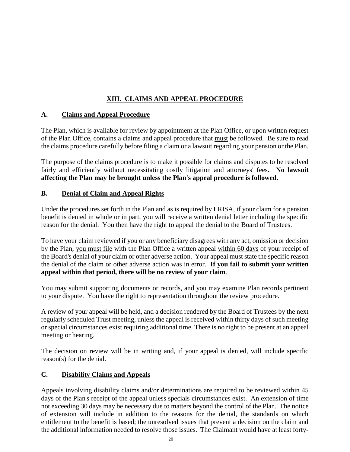## **XIII. CLAIMS AND APPEAL PROCEDURE**

#### **A. Claims and Appeal Procedure**

The Plan, which is available for review by appointment at the Plan Office, or upon written request of the Plan Office, contains a claims and appeal procedure that must be followed. Be sure to read the claims procedure carefully before filing a claim or a lawsuit regarding your pension or the Plan.

The purpose of the claims procedure is to make it possible for claims and disputes to be resolved fairly and efficiently without necessitating costly litigation and attorneys' fees**. No lawsuit affecting the Plan may be brought unless the Plan's appeal procedure is followed.**

#### **B. Denial of Claim and Appeal Rights**

Under the procedures set forth in the Plan and as is required by ERISA, if your claim for a pension benefit is denied in whole or in part, you will receive a written denial letter including the specific reason for the denial. You then have the right to appeal the denial to the Board of Trustees.

To have your claim reviewed if you or any beneficiary disagrees with any act, omission or decision by the Plan, you must file with the Plan Office a written appeal within 60 days of your receipt of the Board's denial of your claim or other adverse action. Your appeal must state the specific reason the denial of the claim or other adverse action was in error. **If you fail to submit your written appeal within that period, there will be no review of your claim**.

You may submit supporting documents or records, and you may examine Plan records pertinent to your dispute. You have the right to representation throughout the review procedure.

A review of your appeal will be held, and a decision rendered by the Board of Trustees by the next regularly scheduled Trust meeting, unless the appeal is received within thirty days of such meeting or special circumstances exist requiring additional time. There is no right to be present at an appeal meeting or hearing.

The decision on review will be in writing and, if your appeal is denied, will include specific reason(s) for the denial.

## **C. Disability Claims and Appeals**

Appeals involving disability claims and/or determinations are required to be reviewed within 45 days of the Plan's receipt of the appeal unless specials circumstances exist. An extension of time not exceeding 30 days may be necessary due to matters beyond the control of the Plan. The notice of extension will include in addition to the reasons for the denial, the standards on which entitlement to the benefit is based; the unresolved issues that prevent a decision on the claim and the additional information needed to resolve those issues. The Claimant would have at least forty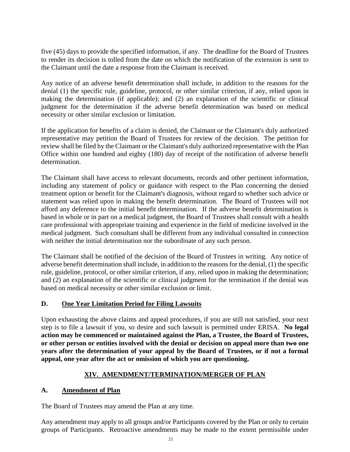five (45) days to provide the specified information, if any. The deadline for the Board of Trustees to render its decision is tolled from the date on which the notification of the extension is sent to the Claimant until the date a response from the Claimant is received.

Any notice of an adverse benefit determination shall include, in addition to the reasons for the denial (1) the specific rule, guideline, protocol, or other similar criterion, if any, relied upon in making the determination (if applicable); and (2) an explanation of the scientific or clinical judgment for the determination if the adverse benefit determination was based on medical necessity or other similar exclusion or limitation.

If the application for benefits of a claim is denied, the Claimant or the Claimant's duly authorized representative may petition the Board of Trustees for review of the decision. The petition for review shall be filed by the Claimant or the Claimant's duly authorized representative with the Plan Office within one hundred and eighty (180) day of receipt of the notification of adverse benefit determination.

The Claimant shall have access to relevant documents, records and other pertinent information, including any statement of policy or guidance with respect to the Plan concerning the denied treatment option or benefit for the Claimant's diagnosis, without regard to whether such advice or statement was relied upon in making the benefit determination. The Board of Trustees will not afford any deference to the initial benefit determination. If the adverse benefit determination is based in whole or in part on a medical judgment, the Board of Trustees shall consult with a health care professional with appropriate training and experience in the field of medicine involved in the medical judgment. Such consultant shall be different from any individual consulted in connection with neither the initial determination nor the subordinate of any such person.

The Claimant shall be notified of the decision of the Board of Trustees in writing. Any notice of adverse benefit determination shall include, in addition to the reasons for the denial, (1) the specific rule, guideline, protocol, or other similar criterion, if any, relied upon in making the determination; and (2) an explanation of the scientific or clinical judgment for the termination if the denial was based on medical necessity or other similar exclusion or limit.

#### **D. One Year Limitation Period for Filing Lawsuits**

Upon exhausting the above claims and appeal procedures, if you are still not satisfied, your next step is to file a lawsuit if you, so desire and such lawsuit is permitted under ERISA. **No legal action may be commenced or maintained against the Plan, a Trustee, the Board of Trustees, or other person or entities involved with the denial or decision on appeal more than two one years after the determination of your appeal by the Board of Trustees, or if not a formal appeal, one year after the act or omission of which you are questioning.**

## **XIV. AMENDMENT/TERMINATION/MERGER OF PLAN**

## **A. Amendment of Plan**

The Board of Trustees may amend the Plan at any time.

Any amendment may apply to all groups and/or Participants covered by the Plan or only to certain groups of Participants. Retroactive amendments may be made to the extent permissible under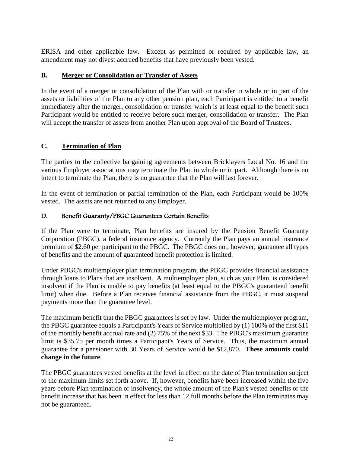ERISA and other applicable law. Except as permitted or required by applicable law, an amendment may not divest accrued benefits that have previously been vested.

#### **B. Merger or Consolidation or Transfer of Assets**

In the event of a merger or consolidation of the Plan with or transfer in whole or in part of the assets or liabilities of the Plan to any other pension plan, each Participant is entitled to a benefit immediately after the merger, consolidation or transfer which is at least equal to the benefit such Participant would be entitled to receive before such merger, consolidation or transfer. The Plan will accept the transfer of assets from another Plan upon approval of the Board of Trustees.

#### **C. Termination of Plan**

The parties to the collective bargaining agreements between Bricklayers Local No. 16 and the various Employer associations may terminate the Plan in whole or in part. Although there is no intent to terminate the Plan, there is no guarantee that the Plan will last forever.

In the event of termination or partial termination of the Plan, each Participant would be 100% vested. The assets are not returned to any Employer.

#### D. Benefit Guaranty/PBGC Guarantees Certain Benefits

If the Plan were to terminate, Plan benefits are insured by the Pension Benefit Guaranty Corporation (PBGC), a federal insurance agency. Currently the Plan pays an annual insurance premium of \$2.60 per participant to the PBGC. The PBGC does not, however, guarantee all types of benefits and the amount of guaranteed benefit protection is limited.

Under PBGC's multiemployer plan termination program, the PBGC provides financial assistance through loans to Plans that are insolvent. A multiemployer plan, such as your Plan, is considered insolvent if the Plan is unable to pay benefits (at least equal to the PBGC's guaranteed benefit limit) when due. Before a Plan receives financial assistance from the PBGC, it must suspend payments more than the guarantee level.

The maximum benefit that the PBGC guarantees is set by law. Under the multiemployer program, the PBGC guarantee equals a Participant's Years of Service multiplied by (1) 100% of the first \$11 of the monthly benefit accrual rate and (2) 75% of the next \$33. The PBGC's maximum guarantee limit is \$35.75 per month times a Participant's Years of Service. Thus, the maximum annual guarantee for a pensioner with 30 Years of Service would be \$12,870. **These amounts could change in the future**.

The PBGC guarantees vested benefits at the level in effect on the date of Plan termination subject to the maximum limits set forth above. If, however, benefits have been increased within the five years before Plan termination or insolvency, the whole amount of the Plan's vested benefits or the benefit increase that has been in effect for less than 12 full months before the Plan terminates may not be guaranteed.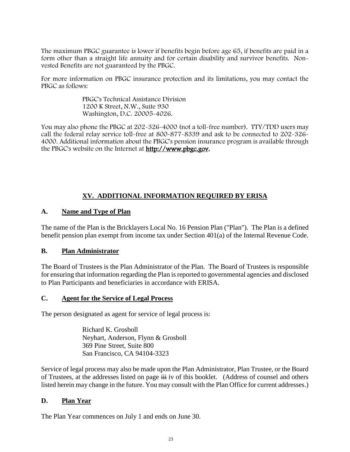The maximum PBGC guarantee is lower if benefits begin before age 65, if benefits are paid in a form other than a straight life annuity and for certain disability and survivor benefits. Nonvested Benefits are not guaranteed by the PBGC.

For more information on PBGC insurance protection and its limitations, you may contact the PBGC as follows:

> PBGC's Technical Assistance Division 1200 K Street, N.W., Suite 930 Washington, D.C. 20005-4026.

You may also phone the PBGC at 202-326-4000 (not a toll-free number). TTY/TDD users may call the federal relay service toll-free at 800-877-8339 and ask to be connected to 202-326- 4000. Additional information about the PBGC's pension insurance program is available through the PBGC's website on the Internet at [http://www.pbgc.gov.](http://www.pbgc.gov/)

## **XV. ADDITIONAL INFORMATION REQUIRED BY ERISA**

#### **A. Name and Type of Plan**

The name of the Plan is the Bricklayers Local No. 16 Pension Plan ("Plan"). The Plan is a defined benefit pension plan exempt from income tax under Section 401(a) of the Internal Revenue Code.

#### **B. Plan Administrator**

The Board of Trustees is the Plan Administrator of the Plan. The Board of Trustees is responsible for ensuring that information regarding the Plan is reported to governmental agencies and disclosed to Plan Participants and beneficiaries in accordance with ERISA.

#### **C. Agent for the Service of Legal Process**

The person designated as agent for service of legal process is:

Richard K. Grosboll Neyhart, Anderson, Flynn & Grosboll 369 Pine Street, Suite 800 San Francisco, CA 94104-3323

Service of legal process may also be made upon the Plan Administrator, Plan Trustee, or the Board of Trustees, at the addresses listed on page  $\overrightarrow{iii}$  iv of this booklet. (Address of counsel and others listed herein may change in the future. You may consult with the Plan Office for current addresses.)

#### **D. Plan Year**

The Plan Year commences on July 1 and ends on June 30.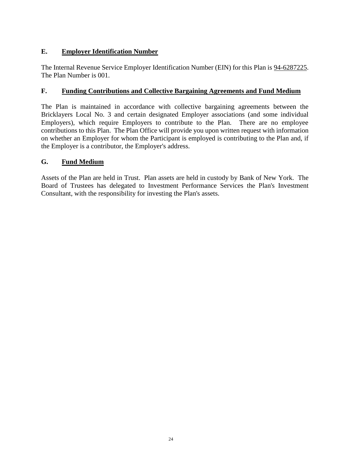## **E. Employer Identification Number**

The Internal Revenue Service Employer Identification Number (EIN) for this Plan is 94-6287225. The Plan Number is 001.

## **F. Funding Contributions and Collective Bargaining Agreements and Fund Medium**

The Plan is maintained in accordance with collective bargaining agreements between the Bricklayers Local No. 3 and certain designated Employer associations (and some individual Employers), which require Employers to contribute to the Plan. There are no employee contributions to this Plan. The Plan Office will provide you upon written request with information on whether an Employer for whom the Participant is employed is contributing to the Plan and, if the Employer is a contributor, the Employer's address.

#### **G. Fund Medium**

Assets of the Plan are held in Trust. Plan assets are held in custody by Bank of New York. The Board of Trustees has delegated to Investment Performance Services the Plan's Investment Consultant, with the responsibility for investing the Plan's assets.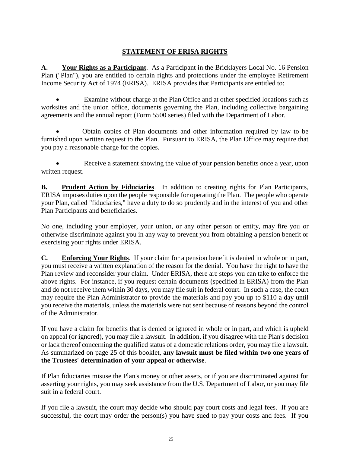## **STATEMENT OF ERISA RIGHTS**

**A. Your Rights as a Participant**. As a Participant in the Bricklayers Local No. 16 Pension Plan ("Plan"), you are entitled to certain rights and protections under the employee Retirement Income Security Act of 1974 (ERISA). ERISA provides that Participants are entitled to:

Examine without charge at the Plan Office and at other specified locations such as worksites and the union office, documents governing the Plan, including collective bargaining agreements and the annual report (Form 5500 series) filed with the Department of Labor.

• Obtain copies of Plan documents and other information required by law to be furnished upon written request to the Plan. Pursuant to ERISA, the Plan Office may require that you pay a reasonable charge for the copies.

• Receive a statement showing the value of your pension benefits once a year, upon written request.

**B. Prudent Action by Fiduciaries**. In addition to creating rights for Plan Participants, ERISA imposes duties upon the people responsible for operating the Plan. The people who operate your Plan, called "fiduciaries," have a duty to do so prudently and in the interest of you and other Plan Participants and beneficiaries.

No one, including your employer, your union, or any other person or entity, may fire you or otherwise discriminate against you in any way to prevent you from obtaining a pension benefit or exercising your rights under ERISA.

**C. Enforcing Your Rights**. If your claim for a pension benefit is denied in whole or in part, you must receive a written explanation of the reason for the denial. You have the right to have the Plan review and reconsider your claim. Under ERISA, there are steps you can take to enforce the above rights. For instance, if you request certain documents (specified in ERISA) from the Plan and do not receive them within 30 days, you may file suit in federal court. In such a case, the court may require the Plan Administrator to provide the materials and pay you up to \$110 a day until you receive the materials, unless the materials were not sent because of reasons beyond the control of the Administrator.

If you have a claim for benefits that is denied or ignored in whole or in part, and which is upheld on appeal (or ignored), you may file a lawsuit. In addition, if you disagree with the Plan's decision or lack thereof concerning the qualified status of a domestic relations order, you may file a lawsuit. As summarized on page 25 of this booklet, **any lawsuit must be filed within two one years of the Trustees' determination of your appeal or otherwise**.

If Plan fiduciaries misuse the Plan's money or other assets, or if you are discriminated against for asserting your rights, you may seek assistance from the U.S. Department of Labor, or you may file suit in a federal court.

If you file a lawsuit, the court may decide who should pay court costs and legal fees. If you are successful, the court may order the person(s) you have sued to pay your costs and fees. If you